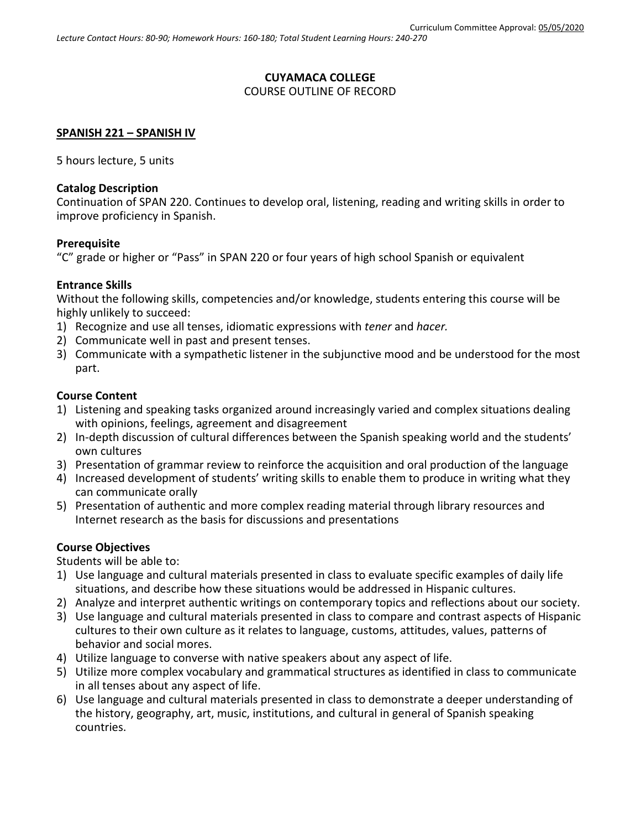## **CUYAMACA COLLEGE** COURSE OUTLINE OF RECORD

## **SPANISH 221 – SPANISH IV**

5 hours lecture, 5 units

#### **Catalog Description**

Continuation of SPAN 220. Continues to develop oral, listening, reading and writing skills in order to improve proficiency in Spanish.

#### **Prerequisite**

"C" grade or higher or "Pass" in SPAN 220 or four years of high school Spanish or equivalent

#### **Entrance Skills**

Without the following skills, competencies and/or knowledge, students entering this course will be highly unlikely to succeed:

- 1) Recognize and use all tenses, idiomatic expressions with *tener* and *hacer.*
- 2) Communicate well in past and present tenses.
- 3) Communicate with a sympathetic listener in the subjunctive mood and be understood for the most part.

#### **Course Content**

- 1) Listening and speaking tasks organized around increasingly varied and complex situations dealing with opinions, feelings, agreement and disagreement
- 2) In-depth discussion of cultural differences between the Spanish speaking world and the students' own cultures
- 3) Presentation of grammar review to reinforce the acquisition and oral production of the language
- 4) Increased development of students' writing skills to enable them to produce in writing what they can communicate orally
- 5) Presentation of authentic and more complex reading material through library resources and Internet research as the basis for discussions and presentations

## **Course Objectives**

Students will be able to:

- 1) Use language and cultural materials presented in class to evaluate specific examples of daily life situations, and describe how these situations would be addressed in Hispanic cultures.
- 2) Analyze and interpret authentic writings on contemporary topics and reflections about our society.
- 3) Use language and cultural materials presented in class to compare and contrast aspects of Hispanic cultures to their own culture as it relates to language, customs, attitudes, values, patterns of behavior and social mores.
- 4) Utilize language to converse with native speakers about any aspect of life.
- 5) Utilize more complex vocabulary and grammatical structures as identified in class to communicate in all tenses about any aspect of life.
- 6) Use language and cultural materials presented in class to demonstrate a deeper understanding of the history, geography, art, music, institutions, and cultural in general of Spanish speaking countries.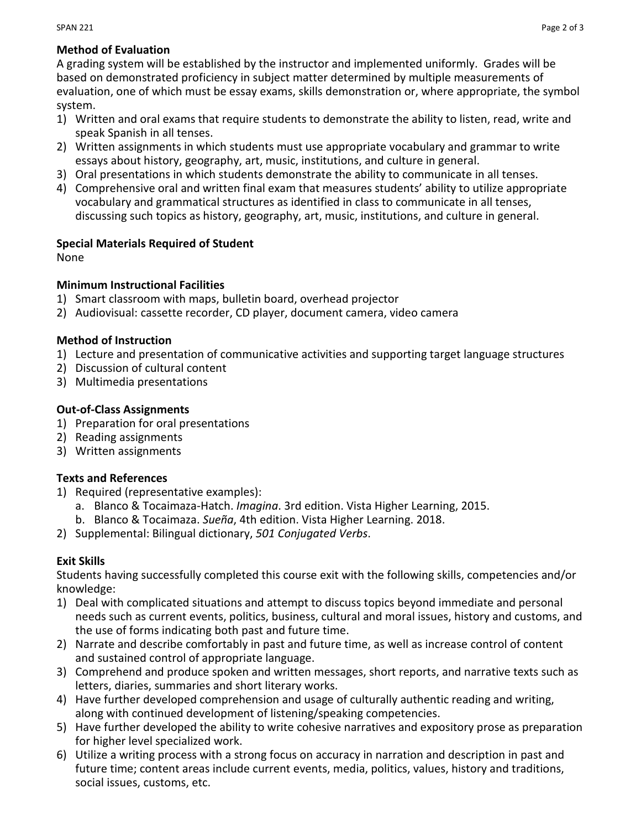## **Method of Evaluation**

A grading system will be established by the instructor and implemented uniformly. Grades will be based on demonstrated proficiency in subject matter determined by multiple measurements of evaluation, one of which must be essay exams, skills demonstration or, where appropriate, the symbol system.

- 1) Written and oral exams that require students to demonstrate the ability to listen, read, write and speak Spanish in all tenses.
- 2) Written assignments in which students must use appropriate vocabulary and grammar to write essays about history, geography, art, music, institutions, and culture in general.
- 3) Oral presentations in which students demonstrate the ability to communicate in all tenses.
- 4) Comprehensive oral and written final exam that measures students' ability to utilize appropriate vocabulary and grammatical structures as identified in class to communicate in all tenses, discussing such topics as history, geography, art, music, institutions, and culture in general.

## **Special Materials Required of Student**

None

## **Minimum Instructional Facilities**

- 1) Smart classroom with maps, bulletin board, overhead projector
- 2) Audiovisual: cassette recorder, CD player, document camera, video camera

## **Method of Instruction**

- 1) Lecture and presentation of communicative activities and supporting target language structures
- 2) Discussion of cultural content
- 3) Multimedia presentations

# **Out-of-Class Assignments**

- 1) Preparation for oral presentations
- 2) Reading assignments
- 3) Written assignments

# **Texts and References**

- 1) Required (representative examples):
	- a. Blanco & Tocaimaza-Hatch. *Imagina*. 3rd edition. Vista Higher Learning, 2015.
	- b. Blanco & Tocaimaza. *Sueña*, 4th edition. Vista Higher Learning. 2018.
- 2) Supplemental: Bilingual dictionary, *501 Conjugated Verbs*.

# **Exit Skills**

Students having successfully completed this course exit with the following skills, competencies and/or knowledge:

- 1) Deal with complicated situations and attempt to discuss topics beyond immediate and personal needs such as current events, politics, business, cultural and moral issues, history and customs, and the use of forms indicating both past and future time.
- 2) Narrate and describe comfortably in past and future time, as well as increase control of content and sustained control of appropriate language.
- 3) Comprehend and produce spoken and written messages, short reports, and narrative texts such as letters, diaries, summaries and short literary works.
- 4) Have further developed comprehension and usage of culturally authentic reading and writing, along with continued development of listening/speaking competencies.
- 5) Have further developed the ability to write cohesive narratives and expository prose as preparation for higher level specialized work.
- 6) Utilize a writing process with a strong focus on accuracy in narration and description in past and future time; content areas include current events, media, politics, values, history and traditions, social issues, customs, etc.